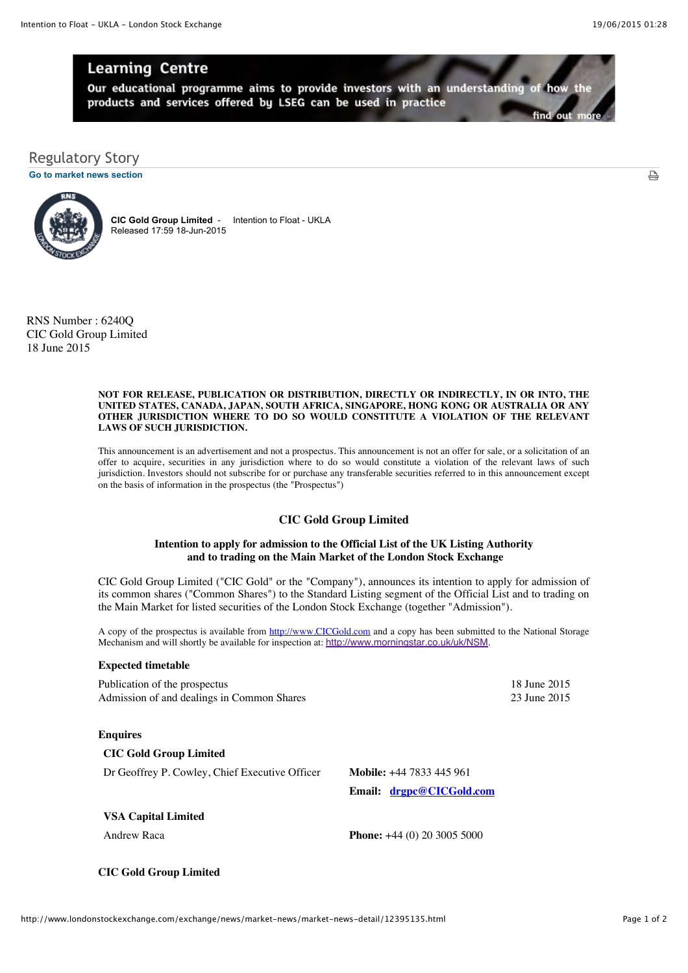₿

# **Learning Centre**

Our educational programme aims to provide investors with an understanding of how the products and services offered by LSEG can be used in practice

**[Go to market news section](javascript:%20sendto()**



**CIC Gold Group Limited** - Intention to Float - UKLA Released 17:59 18-Jun-2015

RNS Number : 6240Q CIC Gold Group Limited 18 June 2015

#### **NOT FOR RELEASE, PUBLICATION OR DISTRIBUTION, DIRECTLY OR INDIRECTLY, IN OR INTO, THE UNITED STATES, CANADA, JAPAN, SOUTH AFRICA, SINGAPORE, HONG KONG OR AUSTRALIA OR ANY OTHER JURISDICTION WHERE TO DO SO WOULD CONSTITUTE A VIOLATION OF THE RELEVANT LAWS OF SUCH JURISDICTION.**

This announcement is an advertisement and not a prospectus. This announcement is not an offer for sale, or a solicitation of an offer to acquire, securities in any jurisdiction where to do so would constitute a violation of the relevant laws of such jurisdiction. Investors should not subscribe for or purchase any transferable securities referred to in this announcement except on the basis of information in the prospectus (the "Prospectus")

## **CIC Gold Group Limited**

#### **Intention to apply for admission to the Official List of the UK Listing Authority and to trading on the Main Market of the London Stock Exchange**

CIC Gold Group Limited ("CIC Gold" or the "Company"), announces its intention to apply for admission of its common shares ("Common Shares") to the Standard Listing segment of the Official List and to trading on the Main Market for listed securities of the London Stock Exchange (together "Admission").

A copy of the prospectus is available from [http://www.CICGold.com](http://www.cicgold.com/) and a copy has been submitted to the National Storage Mechanism and will shortly be available for inspection at: <http://www.morningstar.co.uk/uk/NSM>.

#### **Expected timetable**

Publication of the prospectus 18 June 2015 Admission of and dealings in Common Shares 23 June 2015

#### **Enquires**

**CIC Gold Group Limited**

Dr Geoffrey P. Cowley, Chief Executive Officer **Mobile:** +44 7833 445 961

**Email: [drgpc@CICGold.com](mailto:drgpc@CICGold.com)**

#### **VSA Capital Limited**

Andrew Raca **Phone:**  $+44 (0) 20 3005 5000$ 

### **CIC Gold Group Limited**